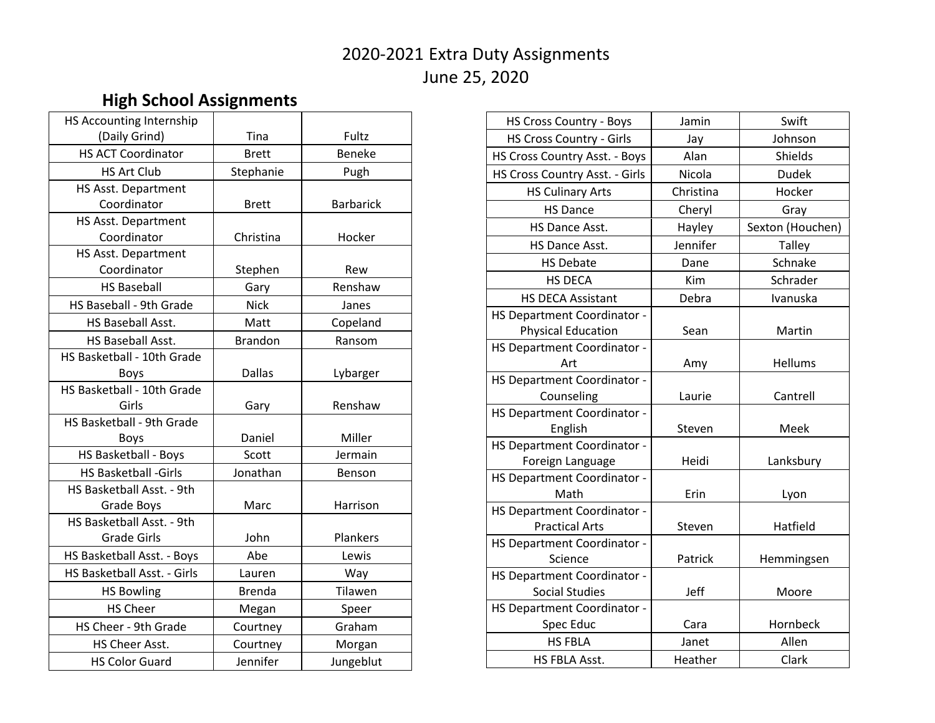## 2020-2021 Extra Duty Assignments June 25, 2020

## **High School Assignments**

| HS Accounting Internship    |                |                  |
|-----------------------------|----------------|------------------|
| (Daily Grind)               | Tina           | Fultz            |
| <b>HS ACT Coordinator</b>   | <b>Brett</b>   | <b>Beneke</b>    |
| <b>HS Art Club</b>          | Stephanie      | Pugh             |
| HS Asst. Department         |                |                  |
| Coordinator                 | <b>Brett</b>   | <b>Barbarick</b> |
| HS Asst. Department         |                |                  |
| Coordinator                 | Christina      | Hocker           |
| HS Asst. Department         |                |                  |
| Coordinator                 | Stephen        | Rew              |
| <b>HS Baseball</b>          | Gary           | Renshaw          |
| HS Baseball - 9th Grade     | <b>Nick</b>    | Janes            |
| HS Baseball Asst.           | Matt           | Copeland         |
| HS Baseball Asst.           | <b>Brandon</b> | Ransom           |
| HS Basketball - 10th Grade  |                |                  |
| <b>Boys</b>                 | <b>Dallas</b>  | Lybarger         |
| HS Basketball - 10th Grade  |                |                  |
| Girls                       | Gary           | Renshaw          |
| HS Basketball - 9th Grade   |                |                  |
| <b>Boys</b>                 | Daniel         | Miller           |
| HS Basketball - Boys        | Scott          | Jermain          |
| <b>HS Basketball -Girls</b> | Jonathan       | Benson           |
| HS Basketball Asst. - 9th   |                |                  |
| Grade Boys                  | Marc           | Harrison         |
| HS Basketball Asst. - 9th   |                |                  |
| <b>Grade Girls</b>          | John           | Plankers         |
| HS Basketball Asst. - Boys  | Abe            | Lewis            |
| HS Basketball Asst. - Girls | Lauren         | Way              |
| <b>HS Bowling</b>           | <b>Brenda</b>  | Tilawen          |
| <b>HS Cheer</b>             | Megan          | Speer            |
| HS Cheer - 9th Grade        | Courtney       | Graham           |
| HS Cheer Asst.              | Courtney       | Morgan           |
| <b>HS Color Guard</b>       | Jennifer       | Jungeblut        |

| <b>HS Cross Country - Boys</b>     | Jamin     | Swift            |
|------------------------------------|-----------|------------------|
| <b>HS Cross Country - Girls</b>    | Jay       | Johnson          |
| HS Cross Country Asst. - Boys      | Alan      | Shields          |
| HS Cross Country Asst. - Girls     | Nicola    | <b>Dudek</b>     |
| <b>HS Culinary Arts</b>            | Christina | Hocker           |
| <b>HS Dance</b>                    | Cheryl    | Gray             |
| <b>HS Dance Asst.</b>              | Hayley    | Sexton (Houchen) |
| HS Dance Asst.                     | Jennifer  | Talley           |
| <b>HS Debate</b>                   | Dane      | Schnake          |
| <b>HS DECA</b>                     | Kim       | Schrader         |
| <b>HS DECA Assistant</b>           | Debra     | Ivanuska         |
| <b>HS Department Coordinator -</b> |           |                  |
| <b>Physical Education</b>          | Sean      | Martin           |
| HS Department Coordinator -        |           |                  |
| Art                                | Amy       | Hellums          |
| <b>HS Department Coordinator -</b> |           |                  |
| Counseling                         | Laurie    | Cantrell         |
| HS Department Coordinator -        |           |                  |
| English                            | Steven    | Meek             |
| HS Department Coordinator -        |           |                  |
| Foreign Language                   | Heidi     | Lanksbury        |
| <b>HS Department Coordinator -</b> |           |                  |
| Math                               | Erin      | Lyon             |
| HS Department Coordinator -        |           |                  |
| <b>Practical Arts</b>              | Steven    | Hatfield         |
| HS Department Coordinator -        |           |                  |
| Science                            | Patrick   | Hemmingsen       |
| HS Department Coordinator -        |           |                  |
| <b>Social Studies</b>              | Jeff      | Moore            |
| HS Department Coordinator -        |           |                  |
| Spec Educ                          | Cara      | Hornbeck         |
| <b>HS FBLA</b>                     | Janet     | Allen            |
| HS FBLA Asst.                      | Heather   | Clark            |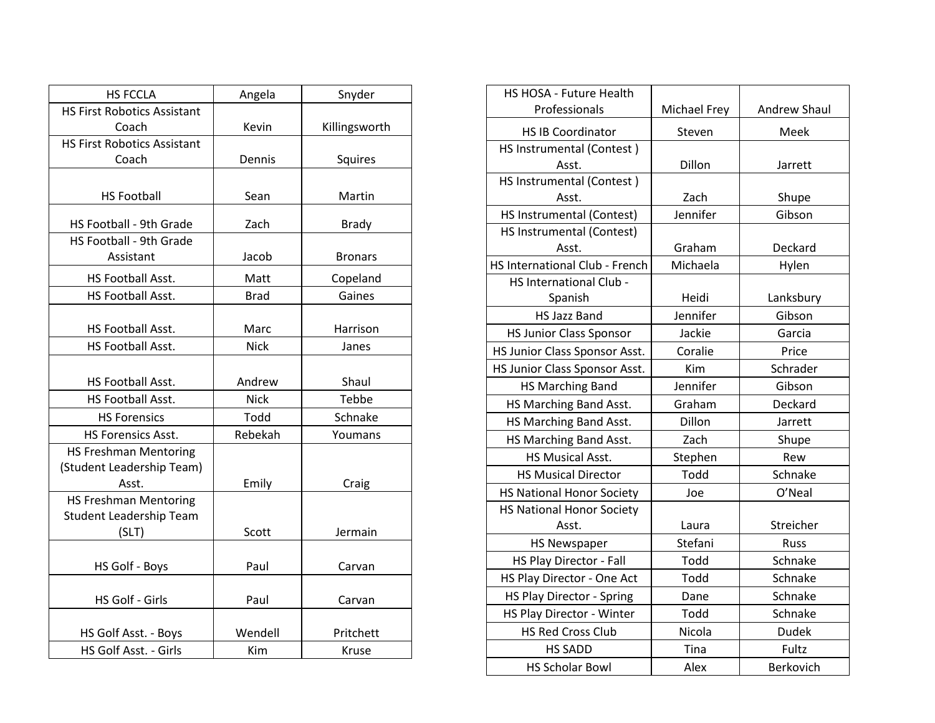| <b>HS FCCLA</b>                    | Angela      | Snyder         |
|------------------------------------|-------------|----------------|
| <b>HS First Robotics Assistant</b> |             |                |
| Coach                              | Kevin       | Killingsworth  |
| <b>HS First Robotics Assistant</b> |             |                |
| Coach                              | Dennis      | Squires        |
|                                    |             |                |
| <b>HS Football</b>                 | Sean        | Martin         |
| HS Football - 9th Grade            | Zach        | <b>Brady</b>   |
| HS Football - 9th Grade            |             |                |
| Assistant                          | Jacob       | <b>Bronars</b> |
| <b>HS Football Asst.</b>           | Matt        | Copeland       |
| HS Football Asst.                  | <b>Brad</b> | Gaines         |
|                                    |             |                |
| HS Football Asst.                  | Marc        | Harrison       |
| HS Football Asst.                  | <b>Nick</b> | Janes          |
|                                    |             |                |
| HS Football Asst.                  | Andrew      | Shaul          |
| HS Football Asst.                  | <b>Nick</b> | Tebbe          |
| <b>HS Forensics</b>                | Todd        | Schnake        |
| <b>HS Forensics Asst.</b>          | Rebekah     | Youmans        |
| <b>HS Freshman Mentoring</b>       |             |                |
| (Student Leadership Team)          |             |                |
| Asst.                              | Emily       | Craig          |
| <b>HS Freshman Mentoring</b>       |             |                |
| Student Leadership Team            |             |                |
| (SLT)                              | Scott       | Jermain        |
|                                    |             |                |
| HS Golf - Boys                     | Paul        | Carvan         |
| HS Golf - Girls                    | Paul        | Carvan         |
|                                    |             |                |
| HS Golf Asst. - Boys               | Wendell     | Pritchett      |
| HS Golf Asst. - Girls              | Kim         | Kruse          |

| HS HOSA - Future Health          |              |                     |
|----------------------------------|--------------|---------------------|
| Professionals                    | Michael Frey | <b>Andrew Shaul</b> |
| <b>HS IB Coordinator</b>         | Steven       | Meek                |
| HS Instrumental (Contest)        |              |                     |
| Asst.                            | Dillon       | Jarrett             |
| HS Instrumental (Contest)        |              |                     |
| Asst.                            | Zach         | Shupe               |
| HS Instrumental (Contest)        | Jennifer     | Gibson              |
| HS Instrumental (Contest)        |              |                     |
| Asst.                            | Graham       | Deckard             |
| HS International Club - French   | Michaela     | Hylen               |
| HS International Club -          |              |                     |
| Spanish                          | Heidi        | Lanksbury           |
| <b>HS Jazz Band</b>              | Jennifer     | Gibson              |
| <b>HS Junior Class Sponsor</b>   | Jackie       | Garcia              |
| HS Junior Class Sponsor Asst.    | Coralie      | Price               |
| HS Junior Class Sponsor Asst.    | Kim          | Schrader            |
| <b>HS Marching Band</b>          | Jennifer     | Gibson              |
| HS Marching Band Asst.           | Graham       | Deckard             |
| HS Marching Band Asst.           | Dillon       | Jarrett             |
| HS Marching Band Asst.           | Zach         | Shupe               |
| HS Musical Asst.                 | Stephen      | Rew                 |
| <b>HS Musical Director</b>       | Todd         | Schnake             |
| <b>HS National Honor Society</b> | Joe          | O'Neal              |
| <b>HS National Honor Society</b> |              |                     |
| Asst.                            | Laura        | Streicher           |
| <b>HS Newspaper</b>              | Stefani      | <b>Russ</b>         |
| HS Play Director - Fall          | Todd         | Schnake             |
| HS Play Director - One Act       | Todd         | Schnake             |
| <b>HS Play Director - Spring</b> | Dane         | Schnake             |
| HS Play Director - Winter        | Todd         | Schnake             |
| <b>HS Red Cross Club</b>         | Nicola       | <b>Dudek</b>        |
| <b>HS SADD</b>                   | Tina         | Fultz               |
| <b>HS Scholar Bowl</b>           | Alex         | Berkovich           |
|                                  |              |                     |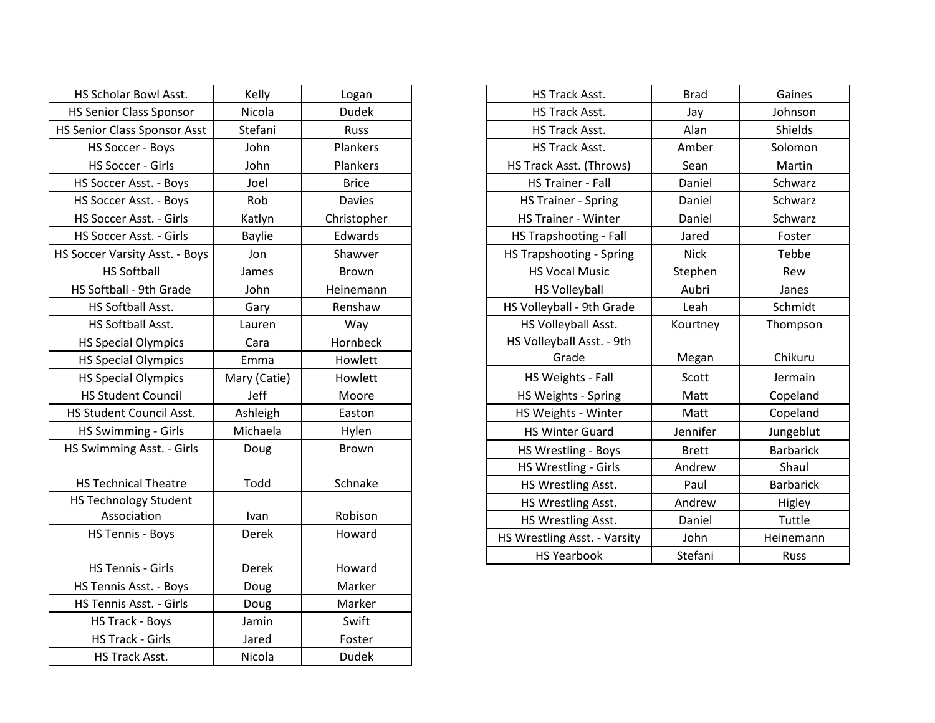| HS Scholar Bowl Asst.                       | Kelly         | Logan         |
|---------------------------------------------|---------------|---------------|
| <b>HS Senior Class Sponsor</b>              | Nicola        | <b>Dudek</b>  |
| <b>HS Senior Class Sponsor Asst</b>         | Stefani       | Russ          |
| <b>HS Soccer - Boys</b>                     | John          | Plankers      |
| HS Soccer - Girls                           | John          | Plankers      |
| HS Soccer Asst. - Boys                      | Joel          | <b>Brice</b>  |
| HS Soccer Asst. - Boys                      | Rob           | <b>Davies</b> |
| HS Soccer Asst. - Girls                     | Katlyn        | Christopher   |
| HS Soccer Asst. - Girls                     | <b>Baylie</b> | Edwards       |
| HS Soccer Varsity Asst. - Boys              | Jon           | Shawver       |
| <b>HS Softball</b>                          | James         | <b>Brown</b>  |
| HS Softball - 9th Grade                     | John          | Heinemann     |
| HS Softball Asst.                           | Gary          | Renshaw       |
| HS Softball Asst.                           | Lauren        | Way           |
| <b>HS Special Olympics</b>                  | Cara          | Hornbeck      |
| <b>HS Special Olympics</b>                  | Emma          | Howlett       |
| <b>HS Special Olympics</b>                  | Mary (Catie)  | Howlett       |
| <b>HS Student Council</b>                   | Jeff          | Moore         |
| HS Student Council Asst.                    | Ashleigh      | Easton        |
| HS Swimming - Girls                         | Michaela      | Hylen         |
| HS Swimming Asst. - Girls                   | Doug          | <b>Brown</b>  |
| <b>HS Technical Theatre</b>                 | Todd          | Schnake       |
| <b>HS Technology Student</b><br>Association | Ivan          | Robison       |
| HS Tennis - Boys                            | Derek         | Howard        |
| <b>HS Tennis - Girls</b>                    | Derek         | Howard        |
| HS Tennis Asst. - Boys                      | Doug          | Marker        |
| HS Tennis Asst. - Girls                     | Doug          | Marker        |
| HS Track - Boys                             | Jamin         | Swift         |
| <b>HS Track - Girls</b>                     | Jared         | Foster        |
| HS Track Asst.                              | Nicola        | <b>Dudek</b>  |

| HS Track Asst.                  | <b>Brad</b>  | Gaines           |
|---------------------------------|--------------|------------------|
| HS Track Asst.                  | Jay          | Johnson          |
| HS Track Asst.                  | Alan         | Shields          |
| HS Track Asst.                  | Amber        | Solomon          |
| HS Track Asst. (Throws)         | Sean         | Martin           |
| <b>HS Trainer - Fall</b>        | Daniel       | Schwarz          |
| <b>HS Trainer - Spring</b>      | Daniel       | Schwarz          |
| <b>HS Trainer - Winter</b>      | Daniel       | Schwarz          |
| HS Trapshooting - Fall          | Jared        | Foster           |
| <b>HS Trapshooting - Spring</b> | <b>Nick</b>  | Tebbe            |
| <b>HS Vocal Music</b>           | Stephen      | Rew              |
| <b>HS Volleyball</b>            | Aubri        | Janes            |
| HS Volleyball - 9th Grade       | Leah         | Schmidt          |
| HS Volleyball Asst.             | Kourtney     | Thompson         |
| HS Volleyball Asst. - 9th       |              |                  |
| Grade                           | Megan        | Chikuru          |
| HS Weights - Fall               | Scott        | Jermain          |
| HS Weights - Spring             | Matt         | Copeland         |
| HS Weights - Winter             | Matt         | Copeland         |
| <b>HS Winter Guard</b>          | Jennifer     | Jungeblut        |
| HS Wrestling - Boys             | <b>Brett</b> | <b>Barbarick</b> |
| HS Wrestling - Girls            | Andrew       | Shaul            |
| HS Wrestling Asst.              | Paul         | <b>Barbarick</b> |
| HS Wrestling Asst.              | Andrew       | Higley           |
| HS Wrestling Asst.              | Daniel       | Tuttle           |
| HS Wrestling Asst. - Varsity    | John         | Heinemann        |
| <b>HS Yearbook</b>              | Stefani      | Russ             |
|                                 |              |                  |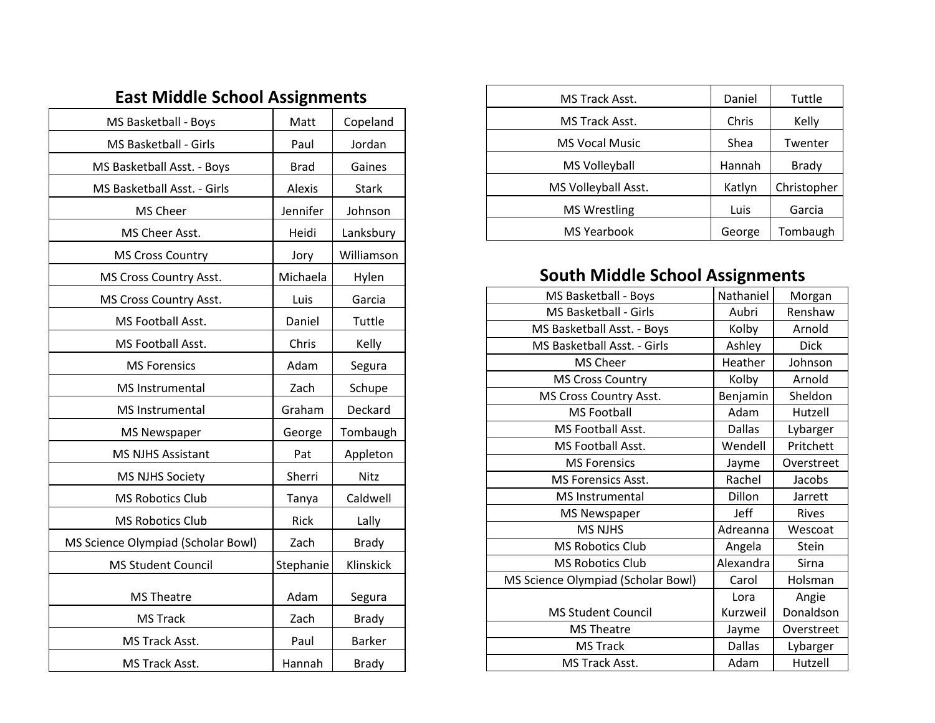|  |  | <b>East Middle School Assignments</b> |
|--|--|---------------------------------------|
|--|--|---------------------------------------|

| MS Basketball - Boys               | Matt          | Copeland      |
|------------------------------------|---------------|---------------|
| MS Basketball - Girls              | Paul          | Jordan        |
| MS Basketball Asst. - Boys         | <b>Brad</b>   | Gaines        |
| MS Basketball Asst. - Girls        | <b>Alexis</b> | <b>Stark</b>  |
| MS Cheer                           | Jennifer      | Johnson       |
| MS Cheer Asst.                     | Heidi         | Lanksbury     |
| <b>MS Cross Country</b>            | Jory          | Williamson    |
| MS Cross Country Asst.             | Michaela      | Hylen         |
| MS Cross Country Asst.             | Luis          | Garcia        |
| MS Football Asst.                  | Daniel        | Tuttle        |
| MS Football Asst.                  | Chris         | Kelly         |
| <b>MS Forensics</b>                | Adam          | Segura        |
| MS Instrumental                    | Zach          | Schupe        |
| MS Instrumental                    | Graham        | Deckard       |
| <b>MS Newspaper</b>                | George        | Tombaugh      |
| <b>MS NJHS Assistant</b>           | Pat           | Appleton      |
| <b>MS NJHS Society</b>             | Sherri        | Nitz          |
| <b>MS Robotics Club</b>            | Tanya         | Caldwell      |
| <b>MS Robotics Club</b>            | Rick          | Lally         |
| MS Science Olympiad (Scholar Bowl) | Zach          | <b>Brady</b>  |
| <b>MS Student Council</b>          | Stephanie     | Klinskick     |
| <b>MS Theatre</b>                  | Adam          | Segura        |
| <b>MS Track</b>                    | Zach          | <b>Brady</b>  |
| MS Track Asst.                     | Paul          | <b>Barker</b> |
| MS Track Asst.                     | Hannah        | <b>Brady</b>  |

| MS Track Asst.        | Daniel | Tuttle       |
|-----------------------|--------|--------------|
| MS Track Asst.        | Chris  | Kelly        |
| <b>MS Vocal Music</b> | Shea   | Twenter      |
| MS Volleyball         | Hannah | <b>Brady</b> |
| MS Volleyball Asst.   | Katlyn | Christopher  |
| <b>MS Wrestling</b>   | Luis   | Garcia       |
| <b>MS Yearbook</b>    | George | Tombaugh     |

## **South Middle School Assignments**

| MS Basketball - Boys               | Nathaniel     | Morgan       |
|------------------------------------|---------------|--------------|
| MS Basketball - Girls              | Aubri         | Renshaw      |
| MS Basketball Asst. - Boys         | Kolby         | Arnold       |
| MS Basketball Asst. - Girls        | Ashley        | <b>Dick</b>  |
| <b>MS Cheer</b>                    | Heather       | Johnson      |
| <b>MS Cross Country</b>            | Kolby         | Arnold       |
| MS Cross Country Asst.             | Benjamin      | Sheldon      |
| <b>MS Football</b>                 | Adam          | Hutzell      |
| MS Football Asst.                  | <b>Dallas</b> | Lybarger     |
| MS Football Asst.                  | Wendell       | Pritchett    |
| <b>MS Forensics</b>                | Jayme         | Overstreet   |
| <b>MS Forensics Asst.</b>          | Rachel        | Jacobs       |
| <b>MS</b> Instrumental             | Dillon        | Jarrett      |
| <b>MS Newspaper</b>                | Jeff          | <b>Rives</b> |
| <b>MS NJHS</b>                     | Adreanna      | Wescoat      |
| <b>MS Robotics Club</b>            | Angela        | Stein        |
| <b>MS Robotics Club</b>            | Alexandra     | Sirna        |
| MS Science Olympiad (Scholar Bowl) | Carol         | Holsman      |
|                                    | Lora          | Angie        |
| <b>MS Student Council</b>          | Kurzweil      | Donaldson    |
| <b>MS Theatre</b>                  | Jayme         | Overstreet   |
| <b>MS Track</b>                    | <b>Dallas</b> | Lybarger     |
| MS Track Asst.                     | Adam          | Hutzell      |